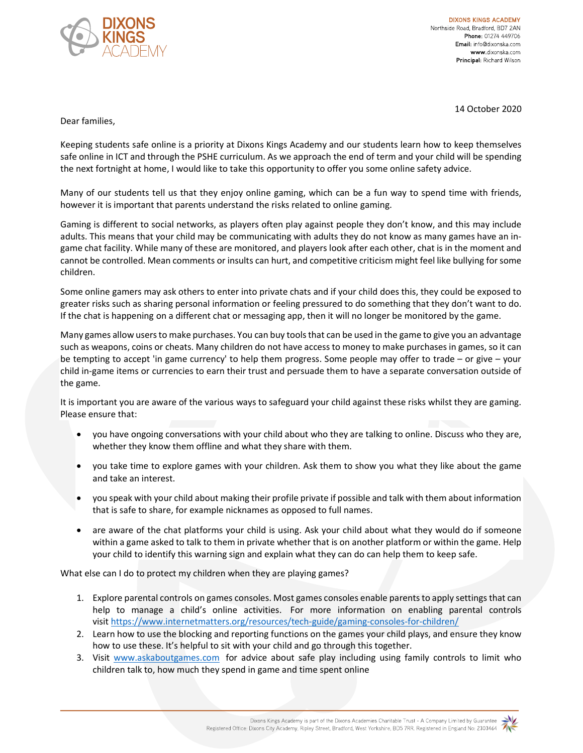

**DIXONS KINGS ACADEMY** Northside Road, Bradford, BD7 2AN Phone: 01274 449706 Email: info@dixonska.com www.dixonska.com Principal: Richard Wilson

14 October 2020

Dear families,

Keeping students safe online is a priority at Dixons Kings Academy and our students learn how to keep themselves safe online in ICT and through the PSHE curriculum. As we approach the end of term and your child will be spending the next fortnight at home, I would like to take this opportunity to offer you some online safety advice.

Many of our students tell us that they enjoy online gaming, which can be a fun way to spend time with friends, however it is important that parents understand the risks related to online gaming.

Gaming is different to social networks, as players often play against people they don't know, and this may include adults. This means that your child may be communicating with adults they do not know as many games have an ingame chat facility. While many of these are monitored, and players look after each other, chat is in the moment and cannot be controlled. Mean comments or insults can hurt, and competitive criticism might feel like bullying for some children.

Some online gamers may ask others to enter into private chats and if your child does this, they could be exposed to greater risks such as sharing personal information or feeling pressured to do something that they don't want to do. If the chat is happening on a different chat or messaging app, then it will no longer be monitored by the game.

Many games allow users to make purchases. You can buy tools that can be used in the game to give you an advantage such as weapons, coins or cheats. Many children do not have access to money to make purchases in games, so it can be tempting to accept 'in game currency' to help them progress. Some people may offer to trade – or give – your child in-game items or currencies to earn their trust and persuade them to have a separate conversation outside of the game.

It is important you are aware of the various ways to safeguard your child against these risks whilst they are gaming. Please ensure that:

- you have ongoing conversations with your child about who they are talking to online. Discuss who they are, whether they know them offline and what they share with them.
- you take time to explore games with your children. Ask them to show you what they like about the game and take an interest.
- you speak with your child about making their profile private if possible and talk with them about information that is safe to share, for example nicknames as opposed to full names.
- are aware of the chat platforms your child is using. Ask your child about what they would do if someone within a game asked to talk to them in private whether that is on another platform or within the game. Help your child to identify this warning sign and explain what they can do can help them to keep safe.

What else can I do to protect my children when they are playing games?

- 1. Explore parental controls on games consoles. Most games consoles enable parents to apply settings that can help to manage a child's online activities. For more information on enabling parental controls visit https://www.internetmatters.org/resources/tech-guide/gaming-consoles-for-children/
- 2. Learn how to use the blocking and reporting functions on the games your child plays, and ensure they know how to use these. It's helpful to sit with your child and go through this together.
- 3. Visit www.askaboutgames.com for advice about safe play including using family controls to limit who children talk to, how much they spend in game and time spent online